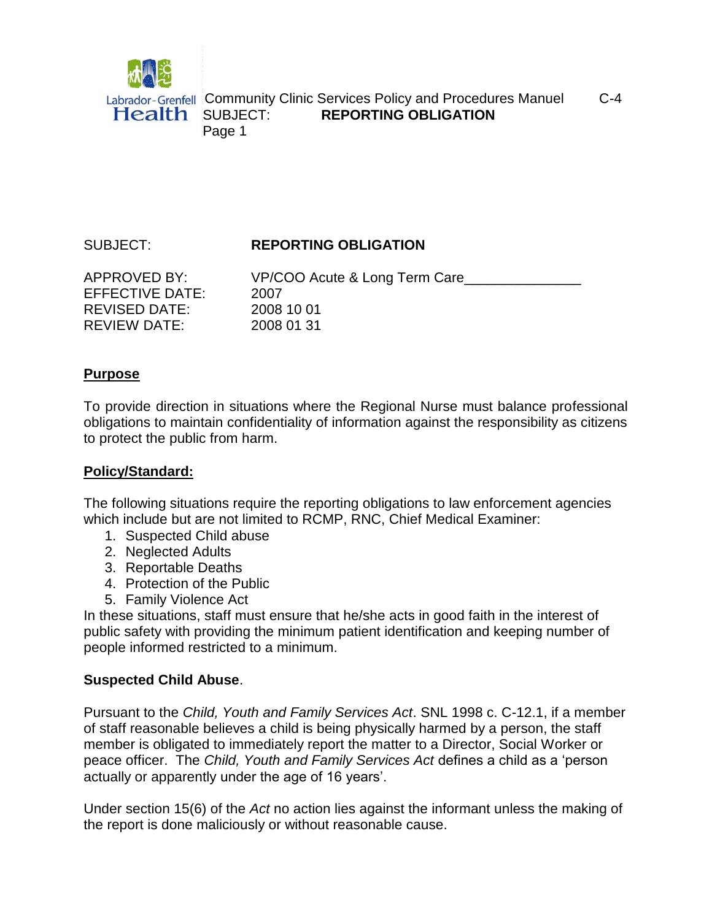

# SUBJECT: **REPORTING OBLIGATION**

| <b>APPROVED BY:</b>  | VP/COO Acute & Long Term Care |
|----------------------|-------------------------------|
| EFFECTIVE DATE:      | 2007                          |
| <b>REVISED DATE:</b> | 2008 10 01                    |
| <b>REVIEW DATE:</b>  | 2008 01 31                    |

#### **Purpose**

To provide direction in situations where the Regional Nurse must balance professional obligations to maintain confidentiality of information against the responsibility as citizens to protect the public from harm.

# **Policy/Standard:**

The following situations require the reporting obligations to law enforcement agencies which include but are not limited to RCMP, RNC, Chief Medical Examiner:

- 1. Suspected Child abuse
- 2. Neglected Adults
- 3. Reportable Deaths
- 4. Protection of the Public
- 5. Family Violence Act

In these situations, staff must ensure that he/she acts in good faith in the interest of public safety with providing the minimum patient identification and keeping number of people informed restricted to a minimum.

# **Suspected Child Abuse**.

Pursuant to the *Child, Youth and Family Services Act*. SNL 1998 c. C-12.1, if a member of staff reasonable believes a child is being physically harmed by a person, the staff member is obligated to immediately report the matter to a Director, Social Worker or peace officer. The *Child, Youth and Family Services Act* defines a child as a 'person actually or apparently under the age of 16 years'.

Under section 15(6) of the *Act* no action lies against the informant unless the making of the report is done maliciously or without reasonable cause.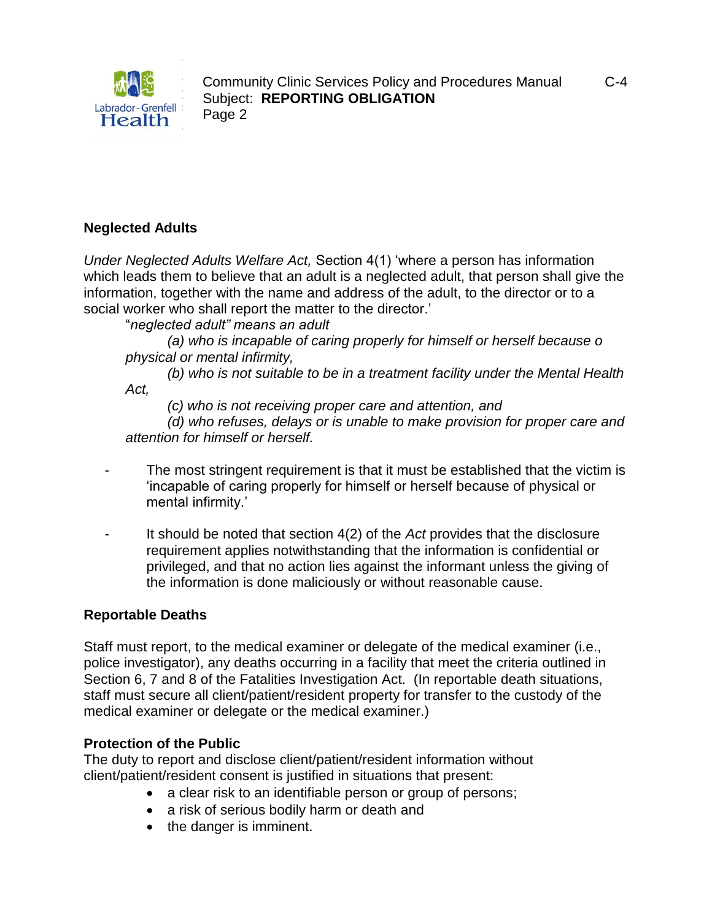

### **Neglected Adults**

*Under Neglected Adults Welfare Act,* Section 4(1) 'where a person has information which leads them to believe that an adult is a neglected adult, that person shall give the information, together with the name and address of the adult, to the director or to a social worker who shall report the matter to the director.'

"*neglected adult" means an adult*

*(a) who is incapable of caring properly for himself or herself because o physical or mental infirmity,*

*(b) who is not suitable to be in a treatment facility under the Mental Health Act,*

*(c) who is not receiving proper care and attention, and*

*(d) who refuses, delays or is unable to make provision for proper care and attention for himself or herself.*

- The most stringent requirement is that it must be established that the victim is 'incapable of caring properly for himself or herself because of physical or mental infirmity.'
- It should be noted that section 4(2) of the *Act* provides that the disclosure requirement applies notwithstanding that the information is confidential or privileged, and that no action lies against the informant unless the giving of the information is done maliciously or without reasonable cause.

#### **Reportable Deaths**

Staff must report, to the medical examiner or delegate of the medical examiner (i.e., police investigator), any deaths occurring in a facility that meet the criteria outlined in Section 6, 7 and 8 of the Fatalities Investigation Act. (In reportable death situations, staff must secure all client/patient/resident property for transfer to the custody of the medical examiner or delegate or the medical examiner.)

#### **Protection of the Public**

The duty to report and disclose client/patient/resident information without client/patient/resident consent is justified in situations that present:

- a clear risk to an identifiable person or group of persons;
- a risk of serious bodily harm or death and
- the danger is imminent.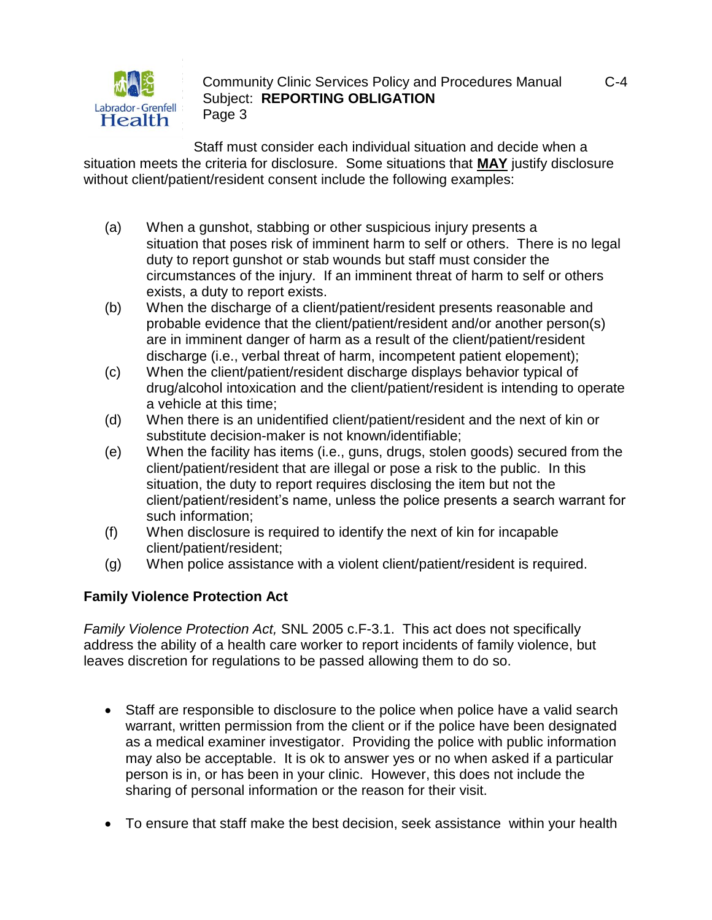

Staff must consider each individual situation and decide when a situation meets the criteria for disclosure. Some situations that **MAY** justify disclosure without client/patient/resident consent include the following examples:

- (a) When a gunshot, stabbing or other suspicious injury presents a situation that poses risk of imminent harm to self or others. There is no legal duty to report gunshot or stab wounds but staff must consider the circumstances of the injury. If an imminent threat of harm to self or others exists, a duty to report exists.
- (b) When the discharge of a client/patient/resident presents reasonable and probable evidence that the client/patient/resident and/or another person(s) are in imminent danger of harm as a result of the client/patient/resident discharge (i.e., verbal threat of harm, incompetent patient elopement);
- (c) When the client/patient/resident discharge displays behavior typical of drug/alcohol intoxication and the client/patient/resident is intending to operate a vehicle at this time;
- (d) When there is an unidentified client/patient/resident and the next of kin or substitute decision-maker is not known/identifiable;
- (e) When the facility has items (i.e., guns, drugs, stolen goods) secured from the client/patient/resident that are illegal or pose a risk to the public. In this situation, the duty to report requires disclosing the item but not the client/patient/resident's name, unless the police presents a search warrant for such information;
- (f) When disclosure is required to identify the next of kin for incapable client/patient/resident;
- (g) When police assistance with a violent client/patient/resident is required.

# **Family Violence Protection Act**

*Family Violence Protection Act,* SNL 2005 c.F-3.1. This act does not specifically address the ability of a health care worker to report incidents of family violence, but leaves discretion for regulations to be passed allowing them to do so.

- Staff are responsible to disclosure to the police when police have a valid search warrant, written permission from the client or if the police have been designated as a medical examiner investigator. Providing the police with public information may also be acceptable. It is ok to answer yes or no when asked if a particular person is in, or has been in your clinic. However, this does not include the sharing of personal information or the reason for their visit.
- To ensure that staff make the best decision, seek assistance within your health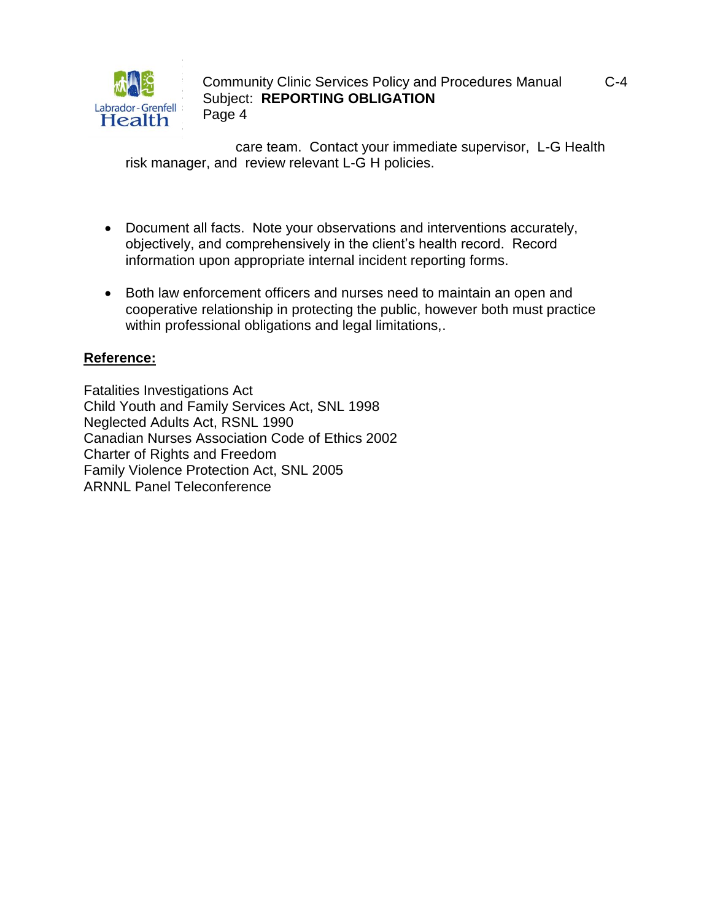

care team. Contact your immediate supervisor, L-G Health risk manager, and review relevant L-G H policies.

- Document all facts. Note your observations and interventions accurately, objectively, and comprehensively in the client's health record. Record information upon appropriate internal incident reporting forms.
- Both law enforcement officers and nurses need to maintain an open and cooperative relationship in protecting the public, however both must practice within professional obligations and legal limitations,.

# **Reference:**

Fatalities Investigations Act Child Youth and Family Services Act, SNL 1998 Neglected Adults Act, RSNL 1990 Canadian Nurses Association Code of Ethics 2002 Charter of Rights and Freedom Family Violence Protection Act, SNL 2005 ARNNL Panel Teleconference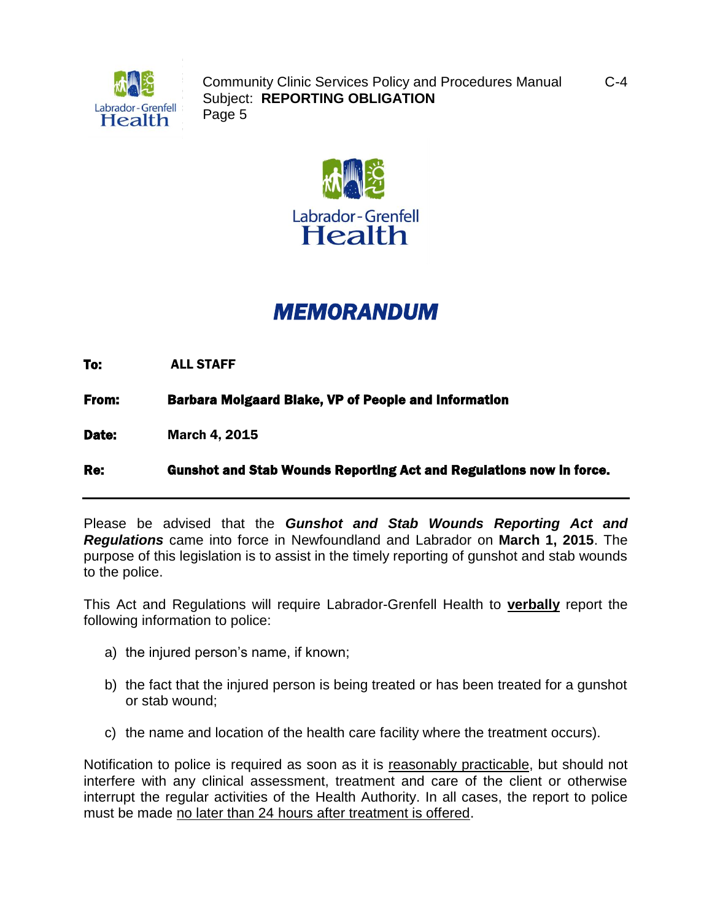



# *MEMORANDUM*

To: ALL STAFF

From: Barbara Molgaard Blake, VP of People and Information

Date: March 4, 2015

Re: Gunshot and Stab Wounds Reporting Act and Regulations now in force.

Please be advised that the *Gunshot and Stab Wounds Reporting Act and Regulations* came into force in Newfoundland and Labrador on **March 1, 2015**. The purpose of this legislation is to assist in the timely reporting of gunshot and stab wounds to the police.

This Act and Regulations will require Labrador-Grenfell Health to **verbally** report the following information to police:

- a) the injured person's name, if known;
- b) the fact that the injured person is being treated or has been treated for a gunshot or stab wound;
- c) the name and location of the health care facility where the treatment occurs).

Notification to police is required as soon as it is reasonably practicable, but should not interfere with any clinical assessment, treatment and care of the client or otherwise interrupt the regular activities of the Health Authority. In all cases, the report to police must be made no later than 24 hours after treatment is offered.